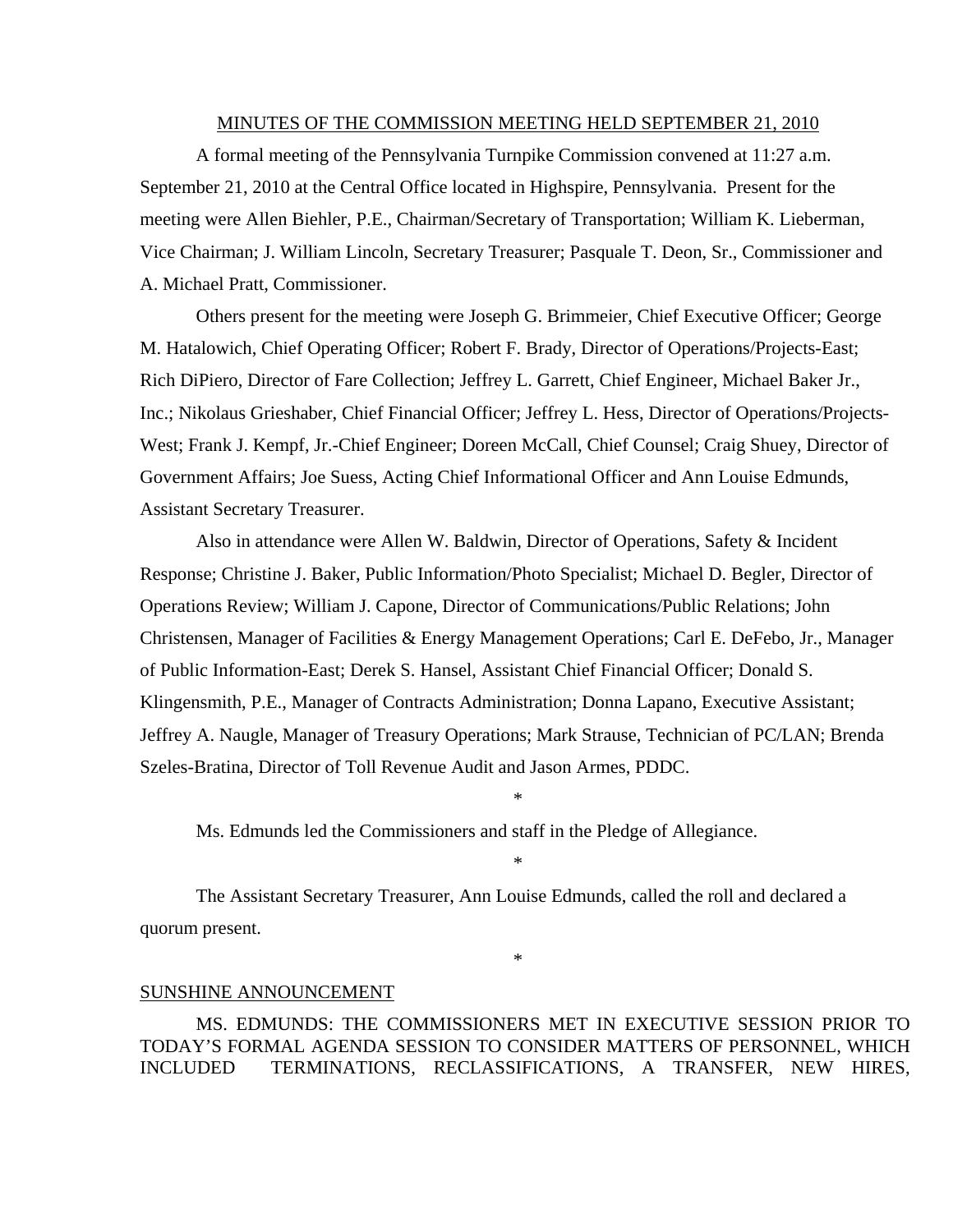#### MINUTES OF THE COMMISSION MEETING HELD SEPTEMBER 21, 2010

 A formal meeting of the Pennsylvania Turnpike Commission convened at 11:27 a.m. September 21, 2010 at the Central Office located in Highspire, Pennsylvania. Present for the meeting were Allen Biehler, P.E., Chairman/Secretary of Transportation; William K. Lieberman, Vice Chairman; J. William Lincoln, Secretary Treasurer; Pasquale T. Deon, Sr., Commissioner and A. Michael Pratt, Commissioner.

 Others present for the meeting were Joseph G. Brimmeier, Chief Executive Officer; George M. Hatalowich, Chief Operating Officer; Robert F. Brady, Director of Operations/Projects-East; Rich DiPiero, Director of Fare Collection; Jeffrey L. Garrett, Chief Engineer, Michael Baker Jr., Inc.; Nikolaus Grieshaber, Chief Financial Officer; Jeffrey L. Hess, Director of Operations/Projects-West; Frank J. Kempf, Jr.-Chief Engineer; Doreen McCall, Chief Counsel; Craig Shuey, Director of Government Affairs; Joe Suess, Acting Chief Informational Officer and Ann Louise Edmunds, Assistant Secretary Treasurer.

 Also in attendance were Allen W. Baldwin, Director of Operations, Safety & Incident Response; Christine J. Baker, Public Information/Photo Specialist; Michael D. Begler, Director of Operations Review; William J. Capone, Director of Communications/Public Relations; John Christensen, Manager of Facilities & Energy Management Operations; Carl E. DeFebo, Jr., Manager of Public Information-East; Derek S. Hansel, Assistant Chief Financial Officer; Donald S. Klingensmith, P.E., Manager of Contracts Administration; Donna Lapano, Executive Assistant; Jeffrey A. Naugle, Manager of Treasury Operations; Mark Strause, Technician of PC/LAN; Brenda Szeles-Bratina, Director of Toll Revenue Audit and Jason Armes, PDDC.

\*

\*

Ms. Edmunds led the Commissioners and staff in the Pledge of Allegiance.

 The Assistant Secretary Treasurer, Ann Louise Edmunds, called the roll and declared a quorum present.

\*

#### SUNSHINE ANNOUNCEMENT

MS. EDMUNDS: THE COMMISSIONERS MET IN EXECUTIVE SESSION PRIOR TO TODAY'S FORMAL AGENDA SESSION TO CONSIDER MATTERS OF PERSONNEL, WHICH INCLUDED TERMINATIONS, RECLASSIFICATIONS, A TRANSFER, NEW HIRES,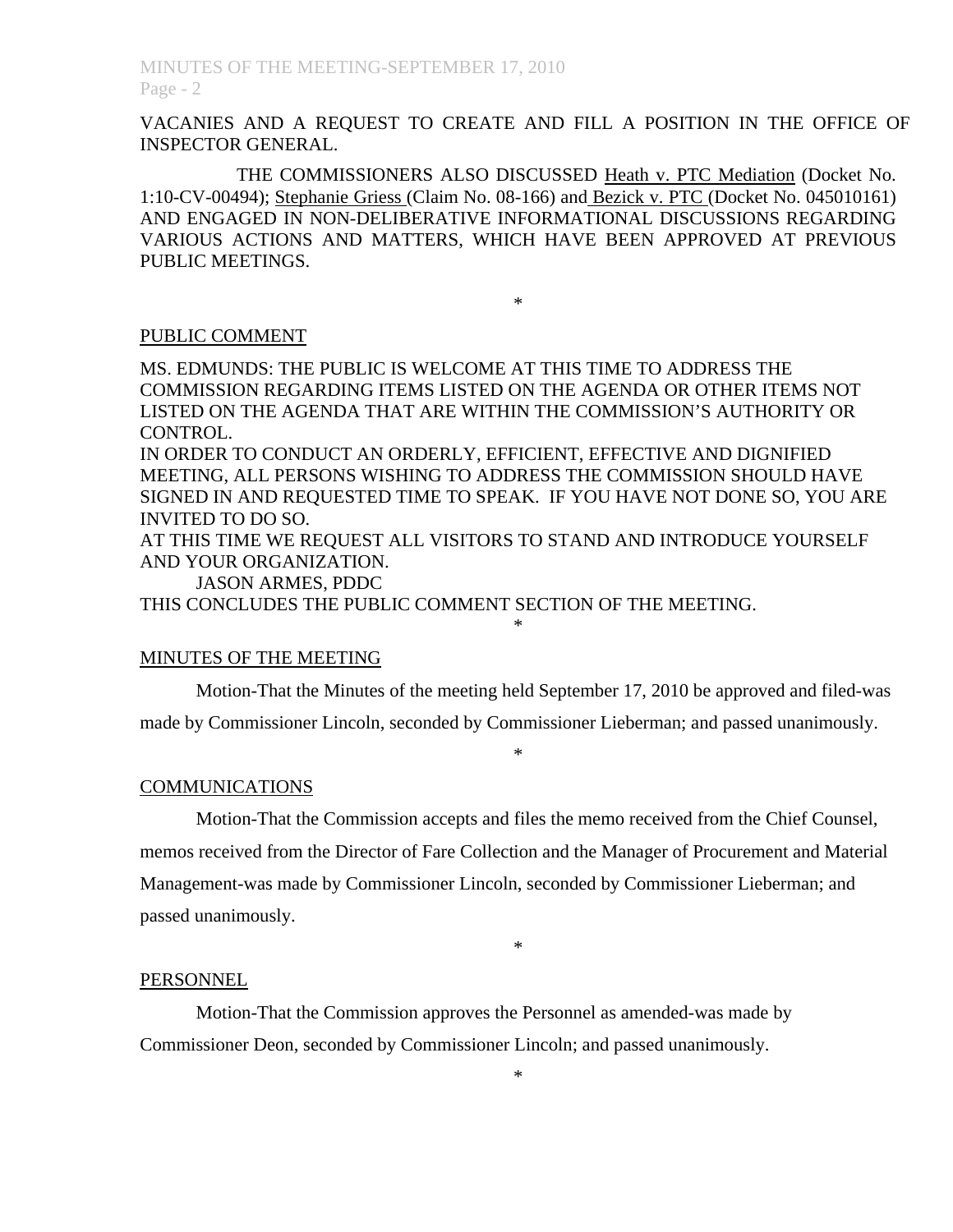VACANIES AND A REQUEST TO CREATE AND FILL A POSITION IN THE OFFICE OF INSPECTOR GENERAL.

 THE COMMISSIONERS ALSO DISCUSSED Heath v. PTC Mediation (Docket No. 1:10-CV-00494); Stephanie Griess (Claim No. 08-166) and Bezick v. PTC (Docket No. 045010161) AND ENGAGED IN NON-DELIBERATIVE INFORMATIONAL DISCUSSIONS REGARDING VARIOUS ACTIONS AND MATTERS, WHICH HAVE BEEN APPROVED AT PREVIOUS PUBLIC MEETINGS.

\*

### PUBLIC COMMENT

MS. EDMUNDS: THE PUBLIC IS WELCOME AT THIS TIME TO ADDRESS THE COMMISSION REGARDING ITEMS LISTED ON THE AGENDA OR OTHER ITEMS NOT LISTED ON THE AGENDA THAT ARE WITHIN THE COMMISSION'S AUTHORITY OR CONTROL.

IN ORDER TO CONDUCT AN ORDERLY, EFFICIENT, EFFECTIVE AND DIGNIFIED MEETING, ALL PERSONS WISHING TO ADDRESS THE COMMISSION SHOULD HAVE SIGNED IN AND REQUESTED TIME TO SPEAK. IF YOU HAVE NOT DONE SO, YOU ARE INVITED TO DO SO.

AT THIS TIME WE REQUEST ALL VISITORS TO STAND AND INTRODUCE YOURSELF AND YOUR ORGANIZATION.

\*

JASON ARMES, PDDC

THIS CONCLUDES THE PUBLIC COMMENT SECTION OF THE MEETING.

## MINUTES OF THE MEETING

Motion-That the Minutes of the meeting held September 17, 2010 be approved and filed-was

made by Commissioner Lincoln, seconded by Commissioner Lieberman; and passed unanimously.

#### \*

## COMMUNICATIONS

 Motion-That the Commission accepts and files the memo received from the Chief Counsel, memos received from the Director of Fare Collection and the Manager of Procurement and Material Management-was made by Commissioner Lincoln, seconded by Commissioner Lieberman; and passed unanimously.

\*

#### PERSONNEL

 Motion-That the Commission approves the Personnel as amended-was made by Commissioner Deon, seconded by Commissioner Lincoln; and passed unanimously.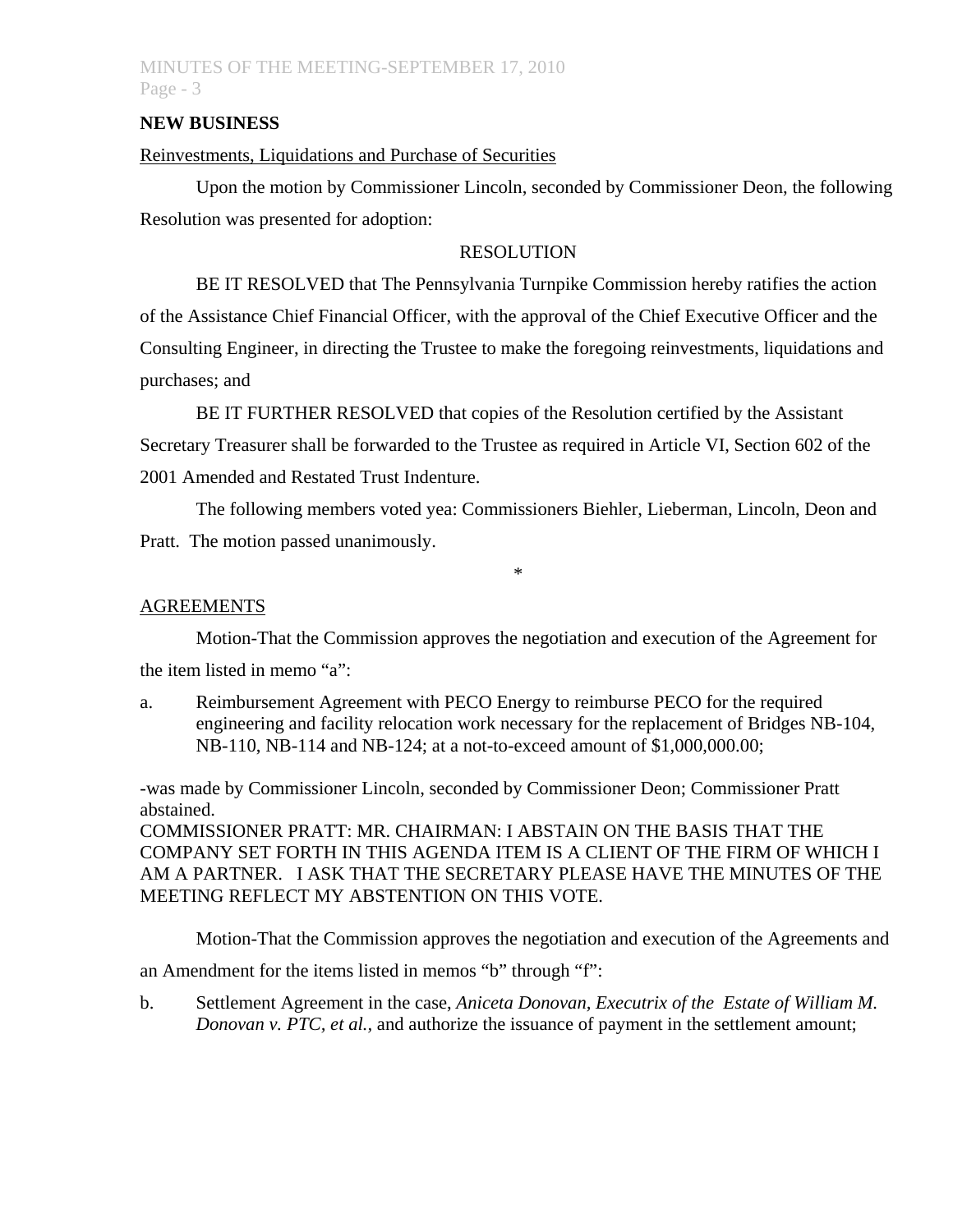## MINUTES OF THE MEETING-SEPTEMBER 17, 2010 Page - 3

## **NEW BUSINESS**

## Reinvestments, Liquidations and Purchase of Securities

 Upon the motion by Commissioner Lincoln, seconded by Commissioner Deon, the following Resolution was presented for adoption:

## RESOLUTION

 BE IT RESOLVED that The Pennsylvania Turnpike Commission hereby ratifies the action of the Assistance Chief Financial Officer, with the approval of the Chief Executive Officer and the Consulting Engineer, in directing the Trustee to make the foregoing reinvestments, liquidations and purchases; and

 BE IT FURTHER RESOLVED that copies of the Resolution certified by the Assistant Secretary Treasurer shall be forwarded to the Trustee as required in Article VI, Section 602 of the 2001 Amended and Restated Trust Indenture.

 The following members voted yea: Commissioners Biehler, Lieberman, Lincoln, Deon and Pratt. The motion passed unanimously.

\*

## AGREEMENTS

Motion-That the Commission approves the negotiation and execution of the Agreement for

the item listed in memo "a":

a. Reimbursement Agreement with PECO Energy to reimburse PECO for the required engineering and facility relocation work necessary for the replacement of Bridges NB-104, NB-110, NB-114 and NB-124; at a not-to-exceed amount of \$1,000,000.00;

-was made by Commissioner Lincoln, seconded by Commissioner Deon; Commissioner Pratt abstained.

COMMISSIONER PRATT: MR. CHAIRMAN: I ABSTAIN ON THE BASIS THAT THE COMPANY SET FORTH IN THIS AGENDA ITEM IS A CLIENT OF THE FIRM OF WHICH I AM A PARTNER. I ASK THAT THE SECRETARY PLEASE HAVE THE MINUTES OF THE MEETING REFLECT MY ABSTENTION ON THIS VOTE.

Motion-That the Commission approves the negotiation and execution of the Agreements and

an Amendment for the items listed in memos "b" through "f":

b. Settlement Agreement in the case, *Aniceta Donovan, Executrix of the Estate of William M. Donovan v. PTC, et al.,* and authorize the issuance of payment in the settlement amount;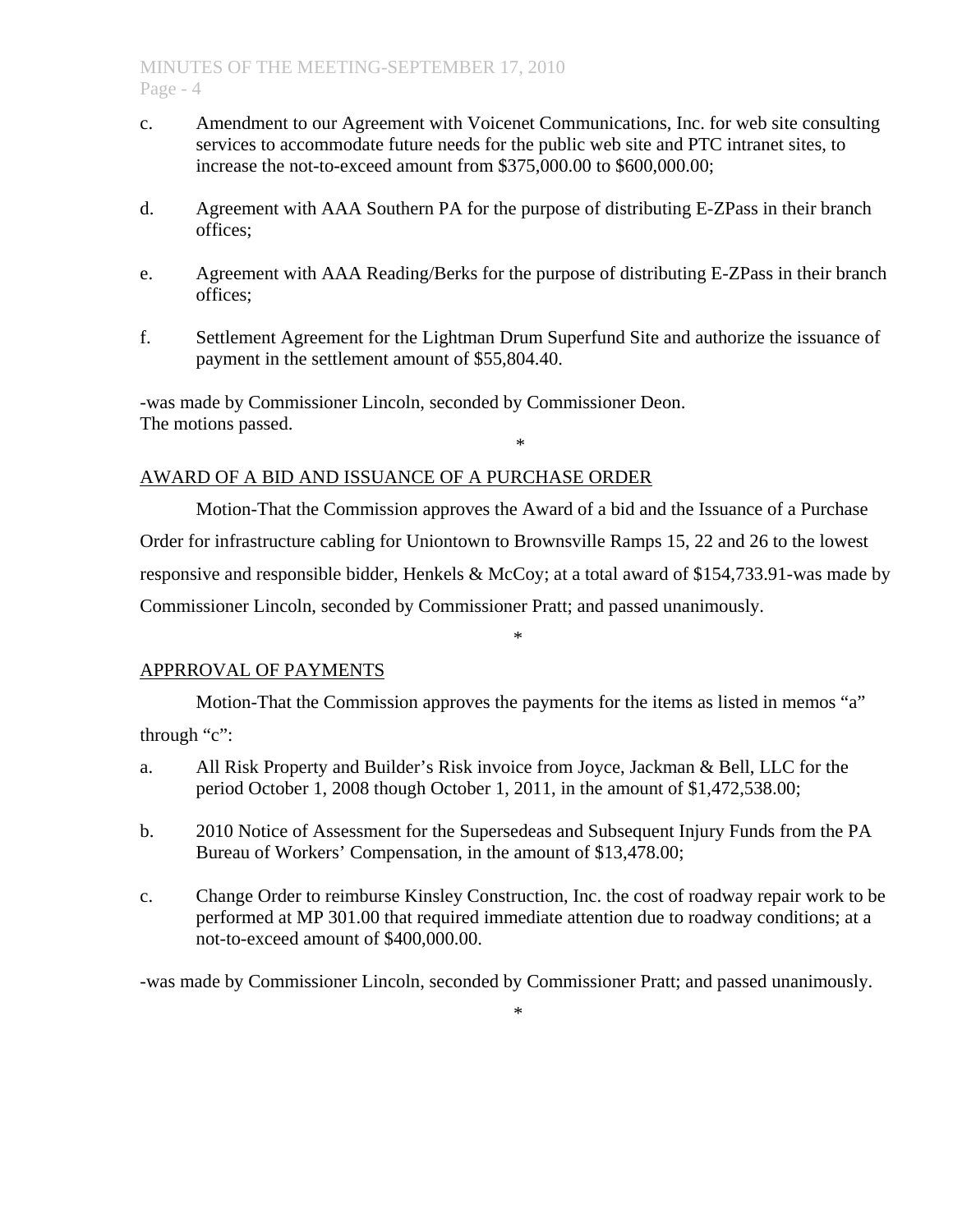- c. Amendment to our Agreement with Voicenet Communications, Inc. for web site consulting services to accommodate future needs for the public web site and PTC intranet sites, to increase the not-to-exceed amount from \$375,000.00 to \$600,000.00;
- d. Agreement with AAA Southern PA for the purpose of distributing E-ZPass in their branch offices;
- e. Agreement with AAA Reading/Berks for the purpose of distributing E-ZPass in their branch offices;
- f. Settlement Agreement for the Lightman Drum Superfund Site and authorize the issuance of payment in the settlement amount of \$55,804.40.

-was made by Commissioner Lincoln, seconded by Commissioner Deon. The motions passed. \*

## AWARD OF A BID AND ISSUANCE OF A PURCHASE ORDER

Motion-That the Commission approves the Award of a bid and the Issuance of a Purchase Order for infrastructure cabling for Uniontown to Brownsville Ramps 15, 22 and 26 to the lowest responsive and responsible bidder, Henkels & McCoy; at a total award of \$154,733.91-was made by Commissioner Lincoln, seconded by Commissioner Pratt; and passed unanimously.

\*

## APPRROVAL OF PAYMENTS

Motion-That the Commission approves the payments for the items as listed in memos "a" through "c":

- a. All Risk Property and Builder's Risk invoice from Joyce, Jackman & Bell, LLC for the period October 1, 2008 though October 1, 2011, in the amount of \$1,472,538.00;
- b. 2010 Notice of Assessment for the Supersedeas and Subsequent Injury Funds from the PA Bureau of Workers' Compensation, in the amount of \$13,478.00;
- c. Change Order to reimburse Kinsley Construction, Inc. the cost of roadway repair work to be performed at MP 301.00 that required immediate attention due to roadway conditions; at a not-to-exceed amount of \$400,000.00.

-was made by Commissioner Lincoln, seconded by Commissioner Pratt; and passed unanimously.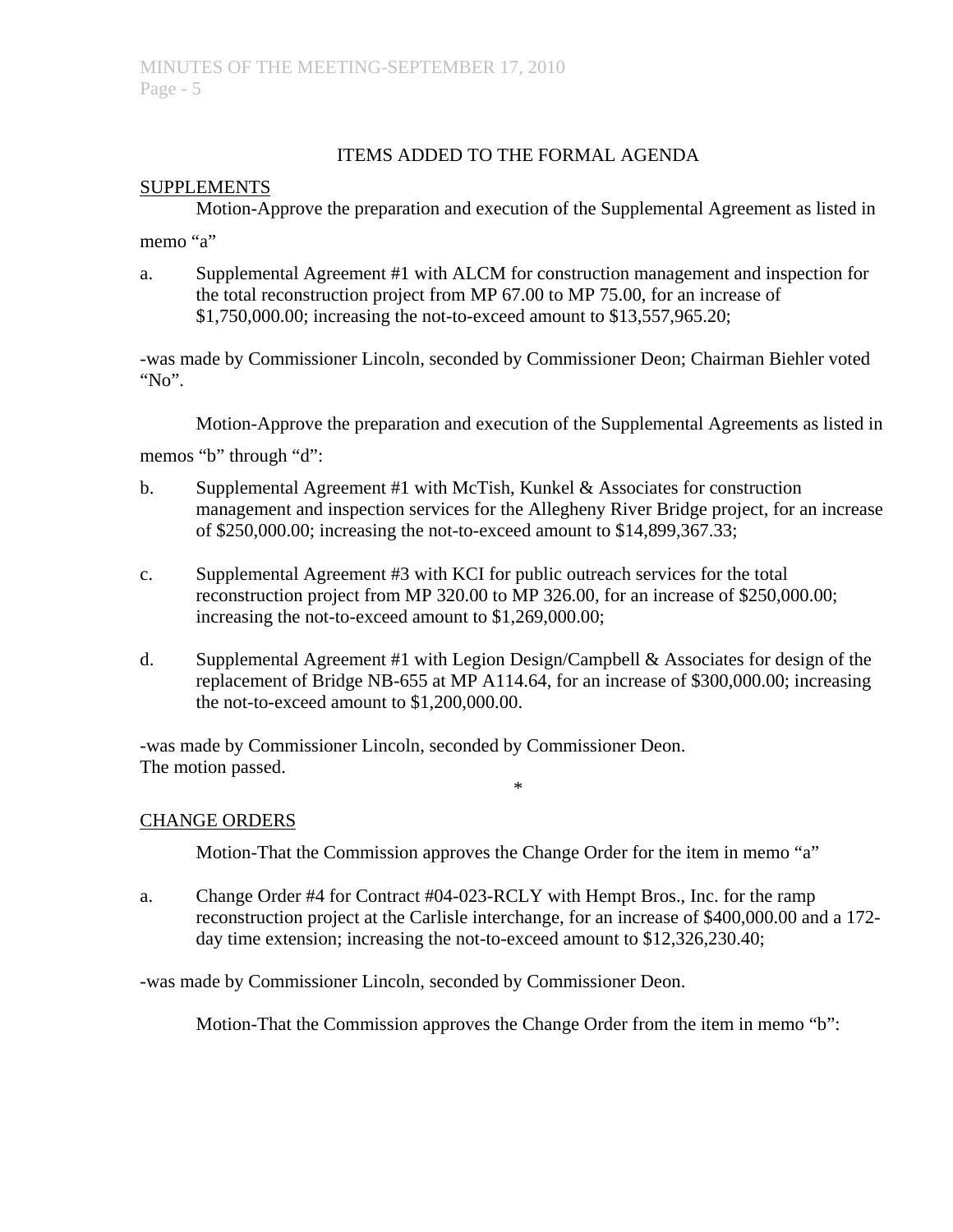## ITEMS ADDED TO THE FORMAL AGENDA

## **SUPPLEMENTS**

Motion-Approve the preparation and execution of the Supplemental Agreement as listed in

memo "a"

a. Supplemental Agreement #1 with ALCM for construction management and inspection for the total reconstruction project from MP 67.00 to MP 75.00, for an increase of \$1,750,000.00; increasing the not-to-exceed amount to \$13,557,965.20;

-was made by Commissioner Lincoln, seconded by Commissioner Deon; Chairman Biehler voted " $No$ ".

Motion-Approve the preparation and execution of the Supplemental Agreements as listed in

memos "b" through "d":

- b. Supplemental Agreement #1 with McTish, Kunkel & Associates for construction management and inspection services for the Allegheny River Bridge project, for an increase of \$250,000.00; increasing the not-to-exceed amount to \$14,899,367.33;
- c. Supplemental Agreement #3 with KCI for public outreach services for the total reconstruction project from MP 320.00 to MP 326.00, for an increase of \$250,000.00; increasing the not-to-exceed amount to \$1,269,000.00;
- d. Supplemental Agreement #1 with Legion Design/Campbell & Associates for design of the replacement of Bridge NB-655 at MP A114.64, for an increase of \$300,000.00; increasing the not-to-exceed amount to \$1,200,000.00.

-was made by Commissioner Lincoln, seconded by Commissioner Deon. The motion passed.

## CHANGE ORDERS

Motion-That the Commission approves the Change Order for the item in memo "a"

\*

a. Change Order #4 for Contract #04-023-RCLY with Hempt Bros., Inc. for the ramp reconstruction project at the Carlisle interchange, for an increase of \$400,000.00 and a 172 day time extension; increasing the not-to-exceed amount to \$12,326,230.40;

-was made by Commissioner Lincoln, seconded by Commissioner Deon.

Motion-That the Commission approves the Change Order from the item in memo "b":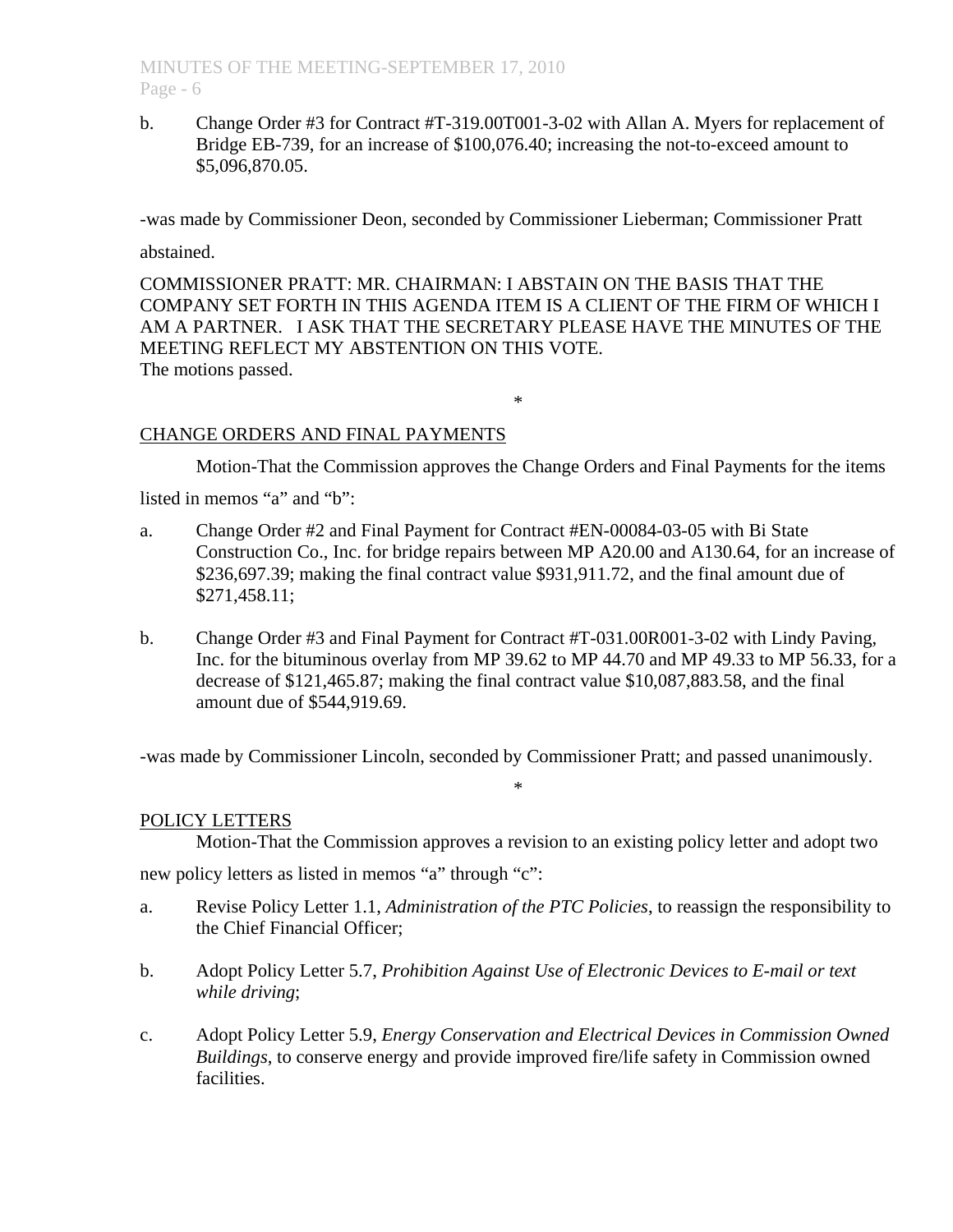b. Change Order #3 for Contract #T-319.00T001-3-02 with Allan A. Myers for replacement of Bridge EB-739, for an increase of \$100,076.40; increasing the not-to-exceed amount to \$5,096,870.05.

-was made by Commissioner Deon, seconded by Commissioner Lieberman; Commissioner Pratt

abstained.

COMMISSIONER PRATT: MR. CHAIRMAN: I ABSTAIN ON THE BASIS THAT THE COMPANY SET FORTH IN THIS AGENDA ITEM IS A CLIENT OF THE FIRM OF WHICH I AM A PARTNER. I ASK THAT THE SECRETARY PLEASE HAVE THE MINUTES OF THE MEETING REFLECT MY ABSTENTION ON THIS VOTE. The motions passed.

### \*

### CHANGE ORDERS AND FINAL PAYMENTS

Motion-That the Commission approves the Change Orders and Final Payments for the items

listed in memos "a" and "b":

- a. Change Order #2 and Final Payment for Contract #EN-00084-03-05 with Bi State Construction Co., Inc. for bridge repairs between MP A20.00 and A130.64, for an increase of \$236,697.39; making the final contract value \$931,911.72, and the final amount due of \$271,458.11;
- b. Change Order #3 and Final Payment for Contract #T-031.00R001-3-02 with Lindy Paving, Inc. for the bituminous overlay from MP 39.62 to MP 44.70 and MP 49.33 to MP 56.33, for a decrease of \$121,465.87; making the final contract value \$10,087,883.58, and the final amount due of \$544,919.69.

-was made by Commissioner Lincoln, seconded by Commissioner Pratt; and passed unanimously.

\*

#### POLICY LETTERS

Motion-That the Commission approves a revision to an existing policy letter and adopt two

new policy letters as listed in memos "a" through "c":

- a. Revise Policy Letter 1.1, *Administration of the PTC Policies*, to reassign the responsibility to the Chief Financial Officer;
- b. Adopt Policy Letter 5.7, *Prohibition Against Use of Electronic Devices to E-mail or text while driving*;
- c. Adopt Policy Letter 5.9, *Energy Conservation and Electrical Devices in Commission Owned Buildings*, to conserve energy and provide improved fire/life safety in Commission owned **facilities**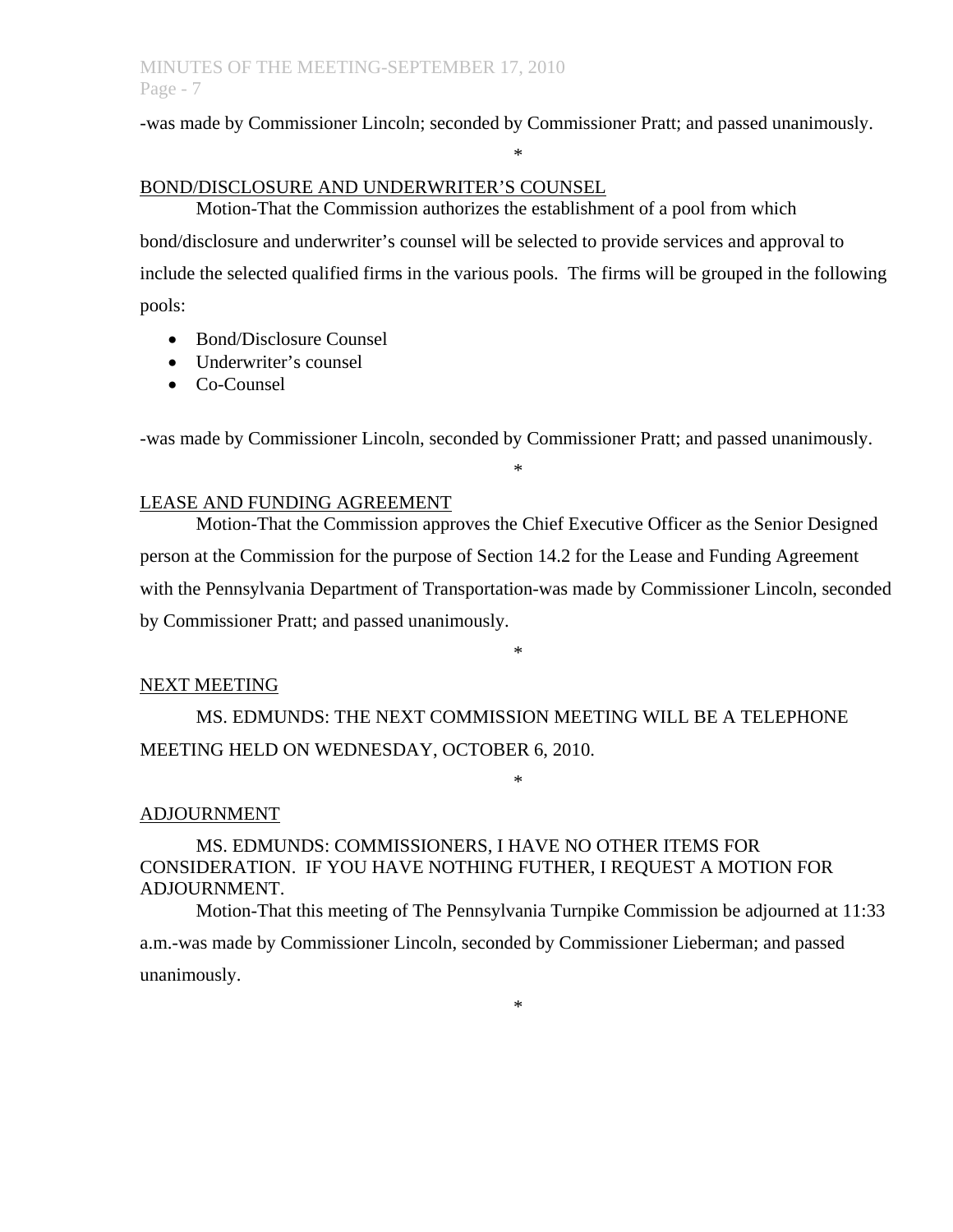-was made by Commissioner Lincoln; seconded by Commissioner Pratt; and passed unanimously.

\*

### BOND/DISCLOSURE AND UNDERWRITER'S COUNSEL

 Motion-That the Commission authorizes the establishment of a pool from which bond/disclosure and underwriter's counsel will be selected to provide services and approval to include the selected qualified firms in the various pools. The firms will be grouped in the following pools:

- Bond/Disclosure Counsel
- Underwriter's counsel
- Co-Counsel

-was made by Commissioner Lincoln, seconded by Commissioner Pratt; and passed unanimously.

\*

## LEASE AND FUNDING AGREEMENT

 Motion-That the Commission approves the Chief Executive Officer as the Senior Designed person at the Commission for the purpose of Section 14.2 for the Lease and Funding Agreement with the Pennsylvania Department of Transportation-was made by Commissioner Lincoln, seconded by Commissioner Pratt; and passed unanimously.

\*

\*

#### NEXT MEETING

 MS. EDMUNDS: THE NEXT COMMISSION MEETING WILL BE A TELEPHONE MEETING HELD ON WEDNESDAY, OCTOBER 6, 2010.

### ADJOURNMENT

## MS. EDMUNDS: COMMISSIONERS, I HAVE NO OTHER ITEMS FOR CONSIDERATION. IF YOU HAVE NOTHING FUTHER, I REQUEST A MOTION FOR ADJOURNMENT.

 Motion-That this meeting of The Pennsylvania Turnpike Commission be adjourned at 11:33 a.m.-was made by Commissioner Lincoln, seconded by Commissioner Lieberman; and passed unanimously.

\*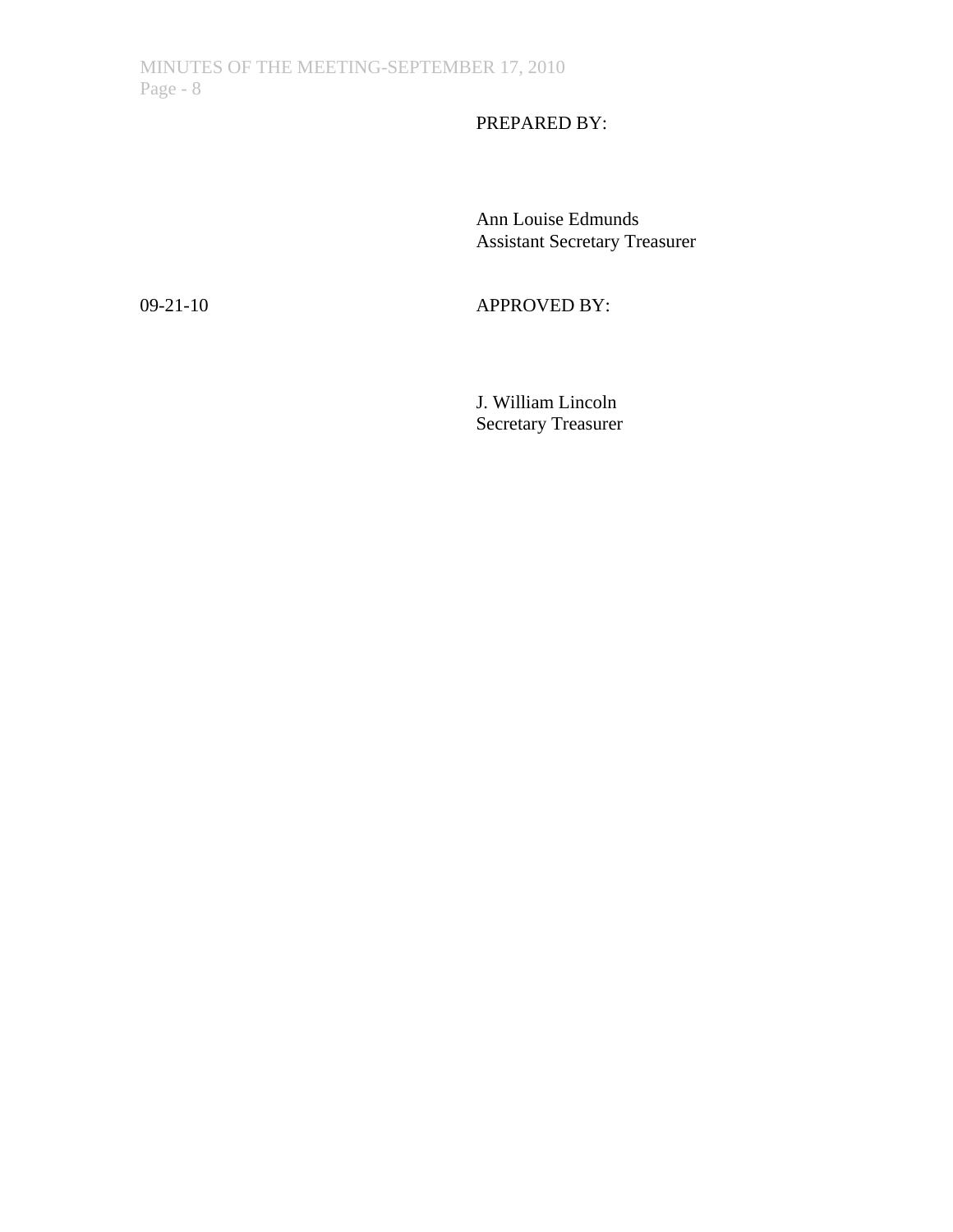# PREPARED BY:

 Ann Louise Edmunds Assistant Secretary Treasurer

09-21-10 APPROVED BY:

 J. William Lincoln Secretary Treasurer